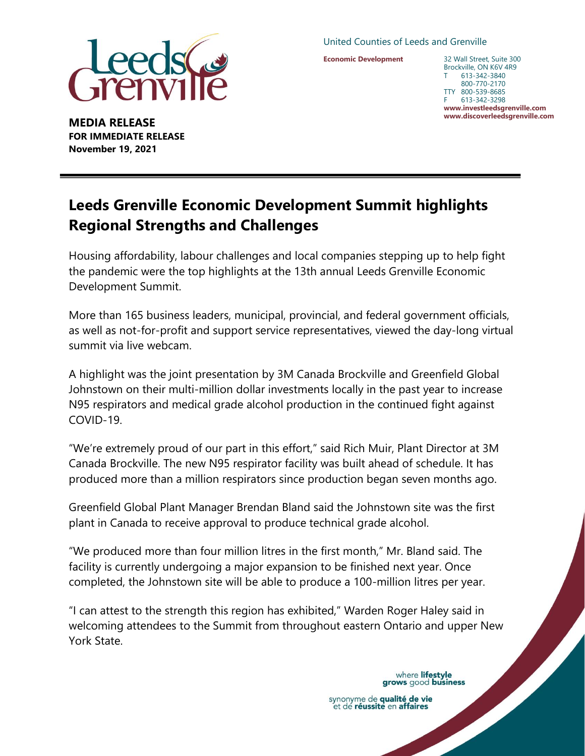

United Counties of Leeds and Grenville

**Economic Development**

32 Wall Street, Suite 300 Brockville, ON K6V 4R9 T 613-342-3840 800-770-2170 TTY 800-539-8685 F 613-342-3298 **www.investleedsgrenville.com www.discoverleedsgrenville.com**

**MEDIA RELEASE FOR IMMEDIATE RELEASE November 19, 2021**

## **Leeds Grenville Economic Development Summit highlights Regional Strengths and Challenges**

Housing affordability, labour challenges and local companies stepping up to help fight the pandemic were the top highlights at the 13th annual Leeds Grenville Economic Development Summit.

More than 165 business leaders, municipal, provincial, and federal government officials, as well as not-for-profit and support service representatives, viewed the day-long virtual summit via live webcam.

A highlight was the joint presentation by 3M Canada Brockville and Greenfield Global Johnstown on their multi-million dollar investments locally in the past year to increase N95 respirators and medical grade alcohol production in the continued fight against COVID-19.

"We're extremely proud of our part in this effort," said Rich Muir, Plant Director at 3M Canada Brockville. The new N95 respirator facility was built ahead of schedule. It has produced more than a million respirators since production began seven months ago.

Greenfield Global Plant Manager Brendan Bland said the Johnstown site was the first plant in Canada to receive approval to produce technical grade alcohol.

"We produced more than four million litres in the first month," Mr. Bland said. The facility is currently undergoing a major expansion to be finished next year. Once completed, the Johnstown site will be able to produce a 100-million litres per year.

"I can attest to the strength this region has exhibited," Warden Roger Haley said in welcoming attendees to the Summit from throughout eastern Ontario and upper New York State.

> where lifestyle grows good business

synonyme de **qualité de vie**<br>et de **réussite** en **affaires**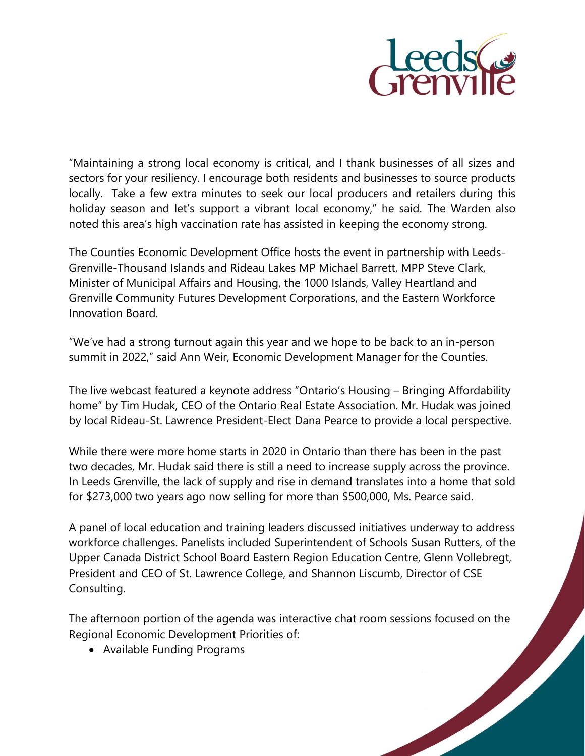

"Maintaining a strong local economy is critical, and I thank businesses of all sizes and sectors for your resiliency. I encourage both residents and businesses to source products locally. Take a few extra minutes to seek our local producers and retailers during this holiday season and let's support a vibrant local economy," he said. The Warden also noted this area's high vaccination rate has assisted in keeping the economy strong.

The Counties Economic Development Office hosts the event in partnership with Leeds-Grenville-Thousand Islands and Rideau Lakes MP Michael Barrett, MPP Steve Clark, Minister of Municipal Affairs and Housing, the 1000 Islands, Valley Heartland and Grenville Community Futures Development Corporations, and the Eastern Workforce Innovation Board.

"We've had a strong turnout again this year and we hope to be back to an in-person summit in 2022," said Ann Weir, Economic Development Manager for the Counties.

The live webcast featured a keynote address "Ontario's Housing – Bringing Affordability home" by Tim Hudak, CEO of the Ontario Real Estate Association. Mr. Hudak was joined by local Rideau-St. Lawrence President-Elect Dana Pearce to provide a local perspective.

While there were more home starts in 2020 in Ontario than there has been in the past two decades, Mr. Hudak said there is still a need to increase supply across the province. In Leeds Grenville, the lack of supply and rise in demand translates into a home that sold for \$273,000 two years ago now selling for more than \$500,000, Ms. Pearce said.

A panel of local education and training leaders discussed initiatives underway to address workforce challenges. Panelists included Superintendent of Schools Susan Rutters, of the Upper Canada District School Board Eastern Region Education Centre, Glenn Vollebregt, President and CEO of St. Lawrence College, and Shannon Liscumb, Director of CSE Consulting.

The afternoon portion of the agenda was interactive chat room sessions focused on the Regional Economic Development Priorities of:

Available Funding Programs